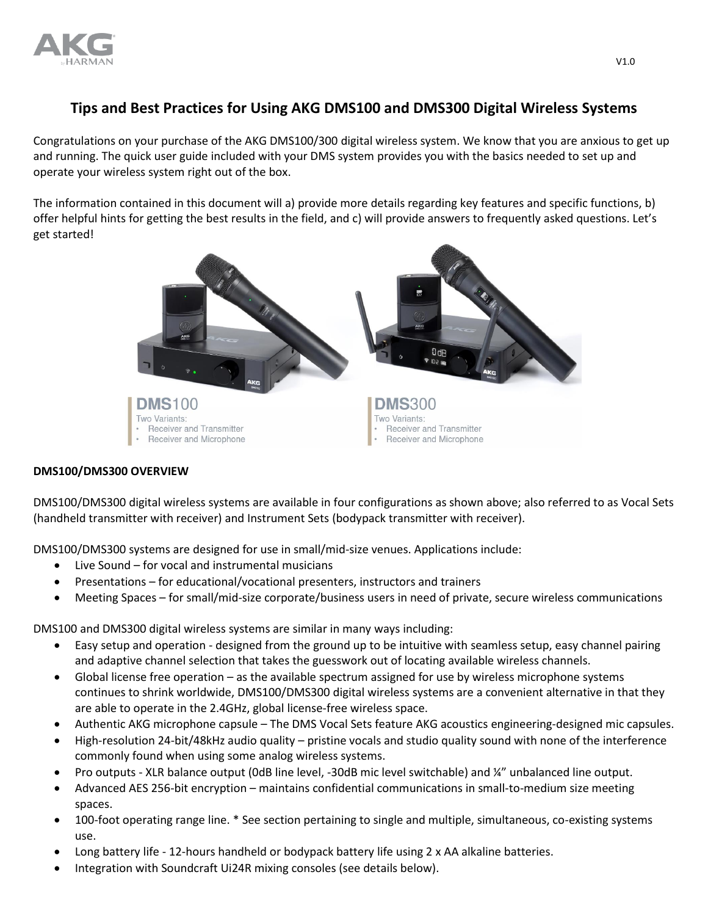

# **Tips and Best Practices for Using AKG DMS100 and DMS300 Digital Wireless Systems**

Congratulations on your purchase of the AKG DMS100/300 digital wireless system. We know that you are anxious to get up and running. The quick user guide included with your DMS system provides you with the basics needed to set up and operate your wireless system right out of the box.

The information contained in this document will a) provide more details regarding key features and specific functions, b) offer helpful hints for getting the best results in the field, and c) will provide answers to frequently asked questions. Let's get started!



## **DMS100/DMS300 OVERVIEW**

DMS100/DMS300 digital wireless systems are available in four configurations as shown above; also referred to as Vocal Sets (handheld transmitter with receiver) and Instrument Sets (bodypack transmitter with receiver).

DMS100/DMS300 systems are designed for use in small/mid-size venues. Applications include:

- Live Sound for vocal and instrumental musicians
- Presentations for educational/vocational presenters, instructors and trainers
- Meeting Spaces for small/mid-size corporate/business users in need of private, secure wireless communications

DMS100 and DMS300 digital wireless systems are similar in many ways including:

- Easy setup and operation designed from the ground up to be intuitive with seamless setup, easy channel pairing and adaptive channel selection that takes the guesswork out of locating available wireless channels.
- Global license free operation as the available spectrum assigned for use by wireless microphone systems continues to shrink worldwide, DMS100/DMS300 digital wireless systems are a convenient alternative in that they are able to operate in the 2.4GHz, global license-free wireless space.
- Authentic AKG microphone capsule The DMS Vocal Sets feature AKG acoustics engineering-designed mic capsules.
- High-resolution 24-bit/48kHz audio quality pristine vocals and studio quality sound with none of the interference commonly found when using some analog wireless systems.
- Pro outputs XLR balance output (0dB line level, -30dB mic level switchable) and ¼" unbalanced line output.
- Advanced AES 256-bit encryption maintains confidential communications in small-to-medium size meeting spaces.
- 100-foot operating range line. \* See section pertaining to single and multiple, simultaneous, co-existing systems use.
- Long battery life 12-hours handheld or bodypack battery life using 2 x AA alkaline batteries.
- Integration with Soundcraft Ui24R mixing consoles (see details below).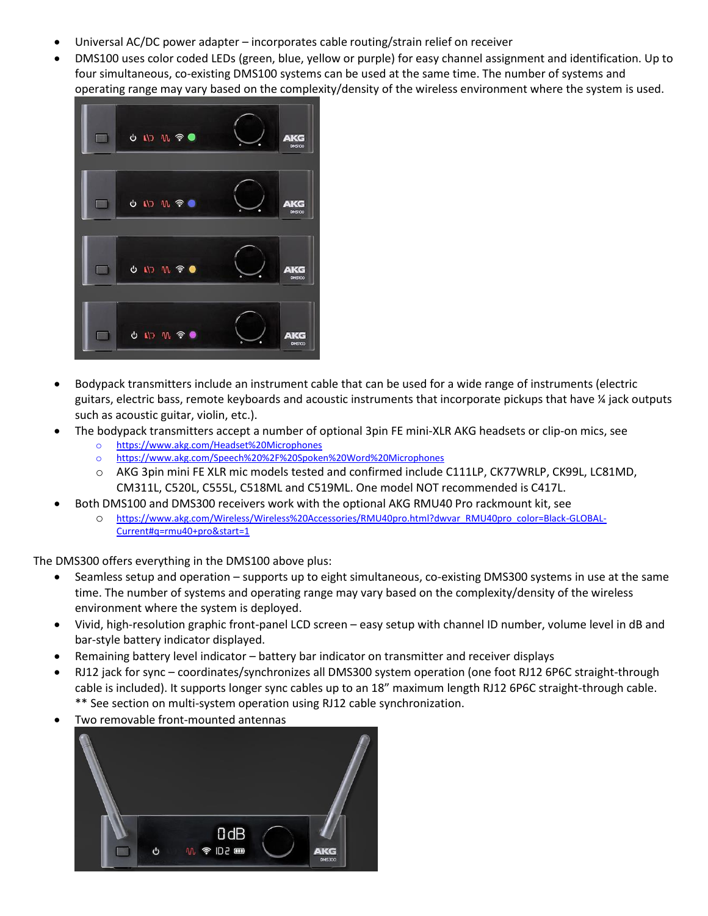- Universal AC/DC power adapter incorporates cable routing/strain relief on receiver
- DMS100 uses color coded LEDs (green, blue, yellow or purple) for easy channel assignment and identification. Up to four simultaneous, co-existing DMS100 systems can be used at the same time. The number of systems and operating range may vary based on the complexity/density of the wireless environment where the system is used.



- Bodypack transmitters include an instrument cable that can be used for a wide range of instruments (electric guitars, electric bass, remote keyboards and acoustic instruments that incorporate pickups that have ¼ jack outputs such as acoustic guitar, violin, etc.).
- The bodypack transmitters accept a number of optional 3pin FE mini-XLR AKG headsets or clip-on mics, see
	- o <https://www.akg.com/Headset%20Microphones>
	- o <https://www.akg.com/Speech%20%2F%20Spoken%20Word%20Microphones>
	- o AKG 3pin mini FE XLR mic models tested and confirmed include C111LP, CK77WRLP, CK99L, LC81MD, CM311L, C520L, C555L, C518ML and C519ML. One model NOT recommended is C417L.
- Both DMS100 and DMS300 receivers work with the optional AKG RMU40 Pro rackmount kit, see
	- o [https://www.akg.com/Wireless/Wireless%20Accessories/RMU40pro.html?dwvar\\_RMU40pro\\_color=Black-GLOBAL-](https://www.akg.com/Wireless/Wireless%20Accessories/RMU40pro.html?dwvar_RMU40pro_color=Black-GLOBAL-Current#q=rmu40+pro&start=1)[Current#q=rmu40+pro&start=1](https://www.akg.com/Wireless/Wireless%20Accessories/RMU40pro.html?dwvar_RMU40pro_color=Black-GLOBAL-Current#q=rmu40+pro&start=1)

The DMS300 offers everything in the DMS100 above plus:

- Seamless setup and operation supports up to eight simultaneous, co-existing DMS300 systems in use at the same time. The number of systems and operating range may vary based on the complexity/density of the wireless environment where the system is deployed.
- Vivid, high-resolution graphic front-panel LCD screen easy setup with channel ID number, volume level in dB and bar-style battery indicator displayed.
- Remaining battery level indicator battery bar indicator on transmitter and receiver displays
- RJ12 jack for sync coordinates/synchronizes all DMS300 system operation (one foot RJ12 6P6C straight-through cable is included). It supports longer sync cables up to an 18" maximum length RJ12 6P6C straight-through cable. \*\* See section on multi-system operation using RJ12 cable synchronization.
- Two removable front-mounted antennas

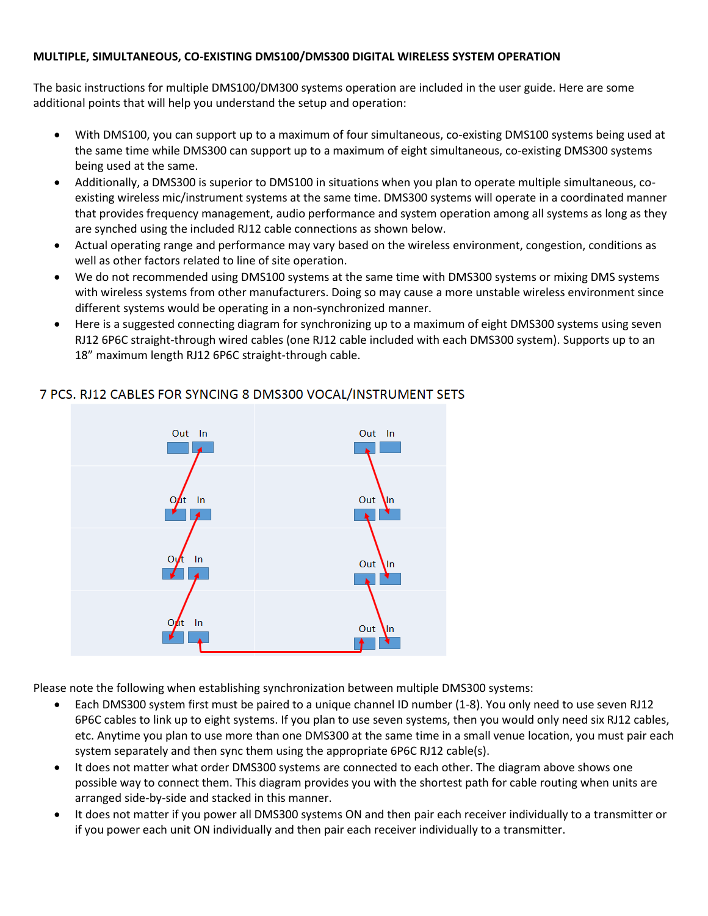## **MULTIPLE, SIMULTANEOUS, CO-EXISTING DMS100/DMS300 DIGITAL WIRELESS SYSTEM OPERATION**

The basic instructions for multiple DMS100/DM300 systems operation are included in the user guide. Here are some additional points that will help you understand the setup and operation:

- With DMS100, you can support up to a maximum of four simultaneous, co-existing DMS100 systems being used at the same time while DMS300 can support up to a maximum of eight simultaneous, co-existing DMS300 systems being used at the same.
- Additionally, a DMS300 is superior to DMS100 in situations when you plan to operate multiple simultaneous, coexisting wireless mic/instrument systems at the same time. DMS300 systems will operate in a coordinated manner that provides frequency management, audio performance and system operation among all systems as long as they are synched using the included RJ12 cable connections as shown below.
- Actual operating range and performance may vary based on the wireless environment, congestion, conditions as well as other factors related to line of site operation.
- We do not recommended using DMS100 systems at the same time with DMS300 systems or mixing DMS systems with wireless systems from other manufacturers. Doing so may cause a more unstable wireless environment since different systems would be operating in a non-synchronized manner.
- Here is a suggested connecting diagram for synchronizing up to a maximum of eight DMS300 systems using seven RJ12 6P6C straight-through wired cables (one RJ12 cable included with each DMS300 system). Supports up to an 18" maximum length RJ12 6P6C straight-through cable.



## 7 PCS. RJ12 CABLES FOR SYNCING 8 DMS300 VOCAL/INSTRUMENT SETS

Please note the following when establishing synchronization between multiple DMS300 systems:

- Each DMS300 system first must be paired to a unique channel ID number (1-8). You only need to use seven RJ12 6P6C cables to link up to eight systems. If you plan to use seven systems, then you would only need six RJ12 cables, etc. Anytime you plan to use more than one DMS300 at the same time in a small venue location, you must pair each system separately and then sync them using the appropriate 6P6C RJ12 cable(s).
- It does not matter what order DMS300 systems are connected to each other. The diagram above shows one possible way to connect them. This diagram provides you with the shortest path for cable routing when units are arranged side-by-side and stacked in this manner.
- It does not matter if you power all DMS300 systems ON and then pair each receiver individually to a transmitter or if you power each unit ON individually and then pair each receiver individually to a transmitter.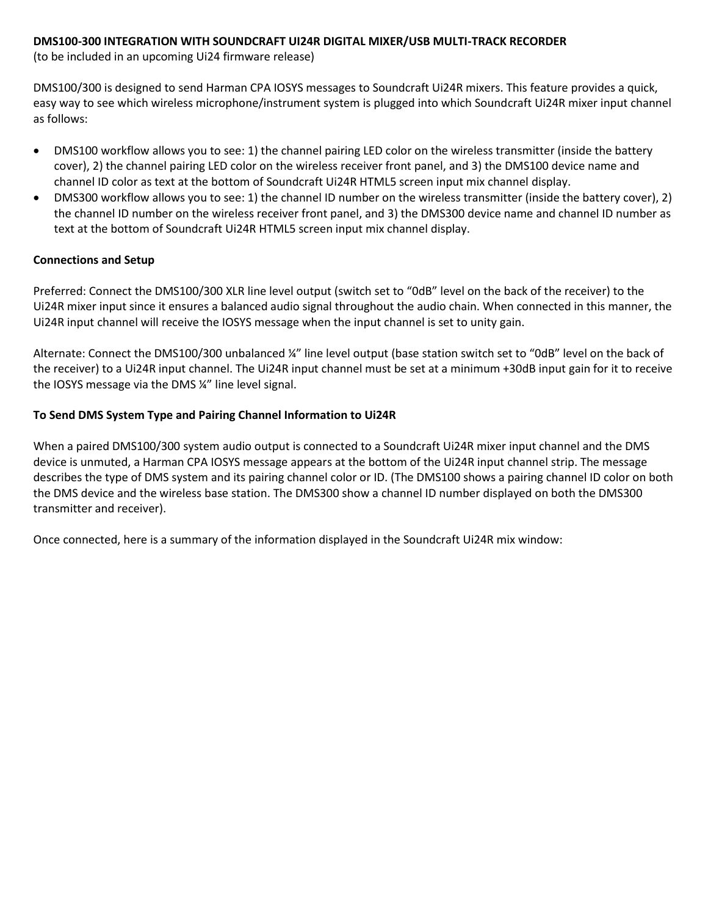## **DMS100-300 INTEGRATION WITH SOUNDCRAFT UI24R DIGITAL MIXER/USB MULTI-TRACK RECORDER**

(to be included in an upcoming Ui24 firmware release)

DMS100/300 is designed to send Harman CPA IOSYS messages to Soundcraft Ui24R mixers. This feature provides a quick, easy way to see which wireless microphone/instrument system is plugged into which Soundcraft Ui24R mixer input channel as follows:

- DMS100 workflow allows you to see: 1) the channel pairing LED color on the wireless transmitter (inside the battery cover), 2) the channel pairing LED color on the wireless receiver front panel, and 3) the DMS100 device name and channel ID color as text at the bottom of Soundcraft Ui24R HTML5 screen input mix channel display.
- DMS300 workflow allows you to see: 1) the channel ID number on the wireless transmitter (inside the battery cover), 2) the channel ID number on the wireless receiver front panel, and 3) the DMS300 device name and channel ID number as text at the bottom of Soundcraft Ui24R HTML5 screen input mix channel display.

## **Connections and Setup**

Preferred: Connect the DMS100/300 XLR line level output (switch set to "0dB" level on the back of the receiver) to the Ui24R mixer input since it ensures a balanced audio signal throughout the audio chain. When connected in this manner, the Ui24R input channel will receive the IOSYS message when the input channel is set to unity gain.

Alternate: Connect the DMS100/300 unbalanced ¼" line level output (base station switch set to "0dB" level on the back of the receiver) to a Ui24R input channel. The Ui24R input channel must be set at a minimum +30dB input gain for it to receive the IOSYS message via the DMS ¼" line level signal.

## **To Send DMS System Type and Pairing Channel Information to Ui24R**

When a paired DMS100/300 system audio output is connected to a Soundcraft Ui24R mixer input channel and the DMS device is unmuted, a Harman CPA IOSYS message appears at the bottom of the Ui24R input channel strip. The message describes the type of DMS system and its pairing channel color or ID. (The DMS100 shows a pairing channel ID color on both the DMS device and the wireless base station. The DMS300 show a channel ID number displayed on both the DMS300 transmitter and receiver).

Once connected, here is a summary of the information displayed in the Soundcraft Ui24R mix window: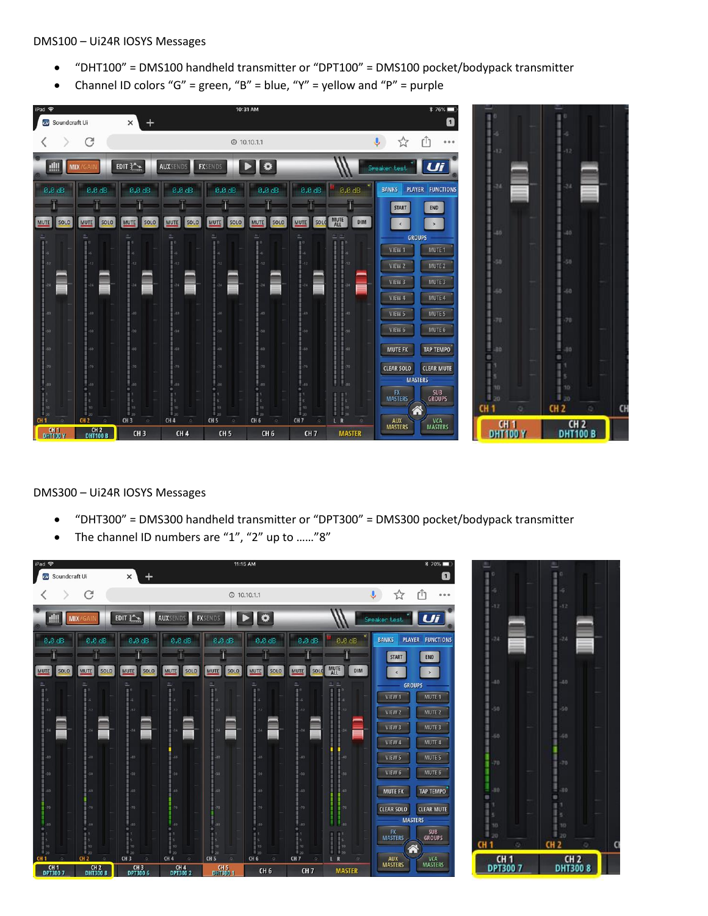#### DMS100 – Ui24R IOSYS Messages

- "DHT100" = DMS100 handheld transmitter or "DPT100" = DMS100 pocket/bodypack transmitter
- Channel ID colors "G" = green, "B" = blue, "Y" = yellow and "P" = purple



DMS300 – Ui24R IOSYS Messages

- "DHT300" = DMS300 handheld transmitter or "DPT300" = DMS300 pocket/bodypack transmitter
- The channel ID numbers are "1", "2" up to ……"8"

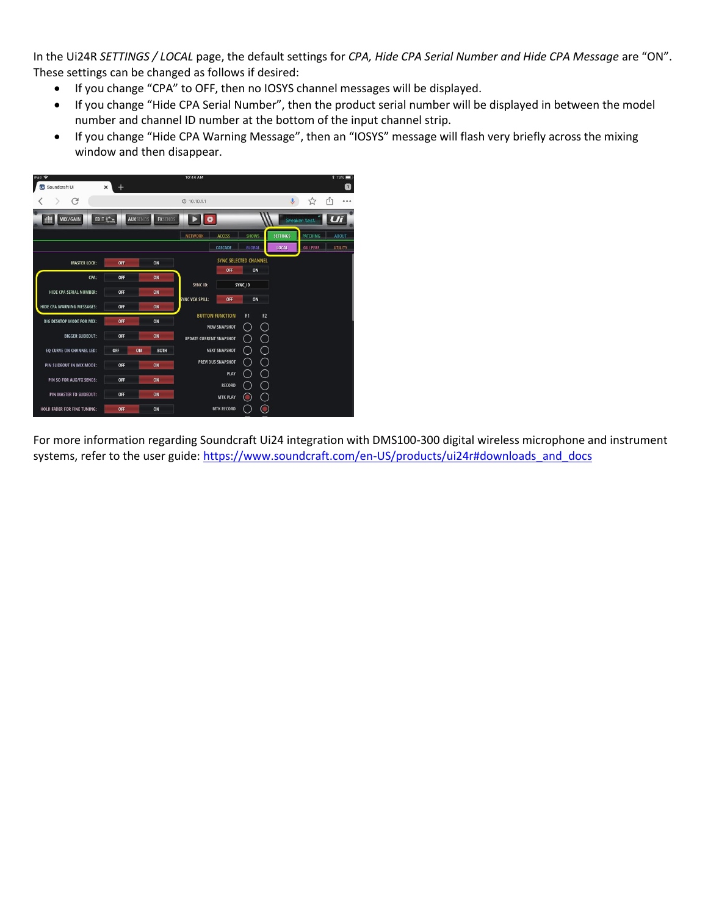In the Ui24R *SETTINGS / LOCAL* page, the default settings for *CPA, Hide CPA Serial Number and Hide CPA Message* are "ON". These settings can be changed as follows if desired:

- If you change "CPA" to OFF, then no IOSYS channel messages will be displayed.
- If you change "Hide CPA Serial Number", then the product serial number will be displayed in between the model number and channel ID number at the bottom of the input channel strip.
- If you change "Hide CPA Warning Message", then an "IOSYS" message will flash very briefly across the mixing window and then disappear.



For more information regarding Soundcraft Ui24 integration with DMS100-300 digital wireless microphone and instrument systems, refer to the user guide: [https://www.soundcraft.com/en-US/products/ui24r#downloads\\_and\\_docs](https://www.soundcraft.com/en-US/products/ui24r#downloads_and_docs)